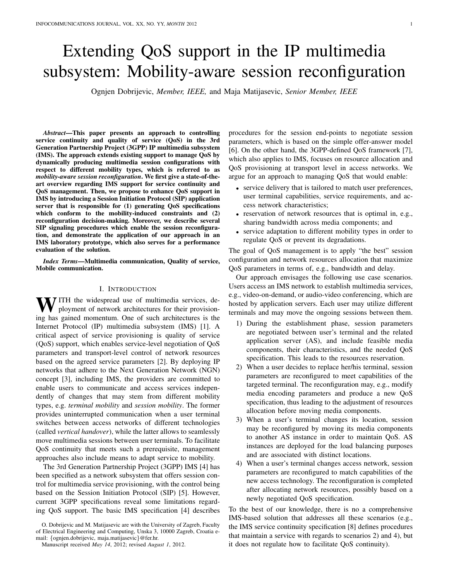# Extending QoS support in the IP multimedia subsystem: Mobility-aware session reconfiguration

Ognjen Dobrijevic, *Member, IEEE,* and Maja Matijasevic, *Senior Member, IEEE*

*Abstract*—This paper presents an approach to controlling service continuity and quality of service (QoS) in the 3rd Generation Partnership Project (3GPP) IP multimedia subsystem (IMS). The approach extends existing support to manage QoS by dynamically producing multimedia session configurations with respect to different mobility types, which is referred to as *mobility-aware session reconfiguration*. We first give a state-of-theart overview regarding IMS support for service continuity and QoS management. Then, we propose to enhance QoS support in IMS by introducing a Session Initiation Protocol (SIP) application server that is responsible for (1) generating QoS specifications which conform to the mobility-induced constraints and (2) reconfiguration decision-making. Moreover, we describe several SIP signaling procedures which enable the session reconfiguration, and demonstrate the application of our approach in an IMS laboratory prototype, which also serves for a performance evaluation of the solution.

*Index Terms*—Multimedia communication, Quality of service, Mobile communication.

### I. INTRODUCTION

WITH the widespread use of multimedia services, deployment of network architectures for their provisioning has gained momentum. One of such architectures is the Internet Protocol (IP) multimedia subsystem (IMS) [1]. A critical aspect of service provisioning is quality of service (QoS) support, which enables service-level negotiation of QoS parameters and transport-level control of network resources based on the agreed service parameters [2]. By deploying IP networks that adhere to the Next Generation Network (NGN) concept [3], including IMS, the providers are committed to enable users to communicate and access services independently of changes that may stem from different mobility types, e.g. *terminal mobility* and *session mobility*. The former provides uninterrupted communication when a user terminal switches between access networks of different technologies (called *vertical handover*), while the latter allows to seamlessly move multimedia sessions between user terminals. To facilitate QoS continuity that meets such a prerequisite, management approaches also include means to adapt service to mobility.

The 3rd Generation Partnership Project (3GPP) IMS [4] has been specified as a network subsystem that offers session control for multimedia service provisioning, with the control being based on the Session Initiation Protocol (SIP) [5]. However, current 3GPP specifications reveal some limitations regarding QoS support. The basic IMS specification [4] describes procedures for the session end-points to negotiate session parameters, which is based on the simple offer-answer model [6]. On the other hand, the 3GPP-defined QoS framework [7], which also applies to IMS, focuses on resource allocation and QoS provisioning at transport level in access networks. We argue for an approach to managing QoS that would enable:

- service delivery that is tailored to match user preferences, user terminal capabilities, service requirements, and access network characteristics;
- reservation of network resources that is optimal in, e.g., sharing bandwidth across media components; and
- service adaptation to different mobility types in order to regulate QoS or prevent its degradations.

The goal of QoS management is to apply "the best" session configuration and network resources allocation that maximize QoS parameters in terms of, e.g., bandwidth and delay.

Our approach envisages the following use case scenarios. Users access an IMS network to establish multimedia services, e.g., video-on-demand, or audio-video conferencing, which are hosted by application servers. Each user may utilize different terminals and may move the ongoing sessions between them.

- 1) During the establishment phase, session parameters are negotiated between user's terminal and the related application server (AS), and include feasible media components, their characteristics, and the needed QoS specification. This leads to the resources reservation.
- 2) When a user decides to replace her/his terminal, session parameters are reconfigured to meet capabilities of the targeted terminal. The reconfiguration may, e.g., modify media encoding parameters and produce a new QoS specification, thus leading to the adjustment of resources allocation before moving media components.
- 3) When a user's terminal changes its location, session may be reconfigured by moving its media components to another AS instance in order to maintain QoS. AS instances are deployed for the load balancing purposes and are associated with distinct locations.
- 4) When a user's terminal changes access network, session parameters are reconfigured to match capabilities of the new access technology. The reconfiguration is completed after allocating network resources, possibly based on a newly negotiated QoS specification.

To the best of our knowledge, there is no a comprehensive IMS-based solution that addresses all these scenarios (e.g., the IMS service continuity specification [8] defines procedures that maintain a service with regards to scenarios 2) and 4), but it does not regulate how to facilitate QoS continuity).

O. Dobrijevic and M. Matijasevic are with the University of Zagreb, Faculty of Electrical Engineering and Computing, Unska 3, 10000 Zagreb, Croatia email: {ognjen.dobrijevic, maja.matijasevic}@fer.hr.

Manuscript received *May 14*, 2012; revised *August 1*, 2012.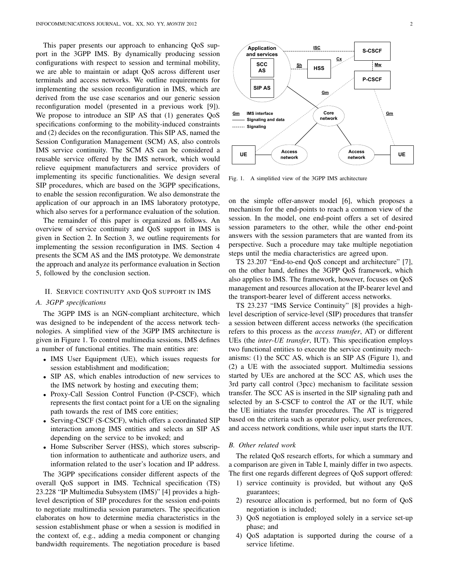This paper presents our approach to enhancing QoS support in the 3GPP IMS. By dynamically producing session configurations with respect to session and terminal mobility, we are able to maintain or adapt QoS across different user terminals and access networks. We outline requirements for implementing the session reconfiguration in IMS, which are derived from the use case scenarios and our generic session reconfiguration model (presented in a previous work [9]). We propose to introduce an SIP AS that (1) generates QoS specifications conforming to the mobility-induced constraints and (2) decides on the reconfiguration. This SIP AS, named the Session Configuration Management (SCM) AS, also controls IMS service continuity. The SCM AS can be considered a reusable service offered by the IMS network, which would relieve equipment manufacturers and service providers of implementing its specific functionalities. We design several SIP procedures, which are based on the 3GPP specifications, to enable the session reconfiguration. We also demonstrate the application of our approach in an IMS laboratory prototype, which also serves for a performance evaluation of the solution.

The remainder of this paper is organized as follows. An overview of service continuity and QoS support in IMS is given in Section 2. In Section 3, we outline requirements for implementing the session reconfiguration in IMS. Section 4 presents the SCM AS and the IMS prototype. We demonstrate the approach and analyze its performance evaluation in Section 5, followed by the conclusion section.

#### II. SERVICE CONTINUITY AND QOS SUPPORT IN IMS

#### *A. 3GPP specifications*

The 3GPP IMS is an NGN-compliant architecture, which was designed to be independent of the access network technologies. A simplified view of the 3GPP IMS architecture is given in Figure 1. To control multimedia sessions, IMS defines a number of functional entities. The main entities are:

- IMS User Equipment (UE), which issues requests for session establishment and modification;
- SIP AS, which enables introduction of new services to the IMS network by hosting and executing them;
- Proxy-Call Session Control Function (P-CSCF), which represents the first contact point for a UE on the signaling path towards the rest of IMS core entities;
- Serving-CSCF (S-CSCF), which offers a coordinated SIP interaction among IMS entities and selects an SIP AS depending on the service to be invoked; and
- Home Subscriber Server (HSS), which stores subscription information to authenticate and authorize users, and information related to the user's location and IP address.

The 3GPP specifications consider different aspects of the overall QoS support in IMS. Technical specification (TS) 23.228 "IP Multimedia Subsystem (IMS)" [4] provides a highlevel description of SIP procedures for the session end-points to negotiate multimedia session parameters. The specification elaborates on how to determine media characteristics in the session establishment phase or when a session is modified in the context of, e.g., adding a media component or changing **EVALUAT SET SET SET SAT AT CHE SET AN AT CHE SET AND CHE SET AND THE SET AND THE SET AND THE SET AND THE SET AND THE SET AND THE SET AND THE SET AND THE SET AND THE SET AND THE SET AND THE SET AND THE SET AND THE SET AND** 



Fig. 1. A simplified view of the 3GPP IMS architecture

on the simple offer-answer model [6], which proposes a mechanism for the end-points to reach a common view of the session. In the model, one end-point offers a set of desired session parameters to the other, while the other end-point answers with the session parameters that are wanted from its perspective. Such a procedure may take multiple negotiation steps until the media characteristics are agreed upon.

TS 23.207 "End-to-end QoS concept and architecture" [7], on the other hand, defines the 3GPP QoS framework, which also applies to IMS. The framework, however, focuses on QoS management and resources allocation at the IP-bearer level and the transport-bearer level of different access networks.

TS 23.237 "IMS Service Continuity" [8] provides a highlevel description of service-level (SIP) procedures that transfer a session between different access networks (the specification refers to this process as the *access transfer*, AT) or different UEs (the *inter-UE transfer*, IUT). This specification employs two functional entities to execute the service continuity mechanisms: (1) the SCC AS, which is an SIP AS (Figure 1), and (2) a UE with the associated support. Multimedia sessions started by UEs are anchored at the SCC AS, which uses the 3rd party call control (3pcc) mechanism to facilitate session transfer. The SCC AS is inserted in the SIP signaling path and selected by an S-CSCF to control the AT or the IUT, while the UE initiates the transfer procedures. The AT is triggered based on the criteria such as operator policy, user preferences, and access network conditions, while user input starts the IUT.

## *B. Other related work*

The related QoS research efforts, for which a summary and a comparison are given in Table I, mainly differ in two aspects. The first one regards different degrees of QoS support offered:

- 1) service continuity is provided, but without any QoS guarantees;
- 2) resource allocation is performed, but no form of QoS negotiation is included;
- 3) QoS negotiation is employed solely in a service set-up phase; and
- 4) QoS adaptation is supported during the course of a service lifetime.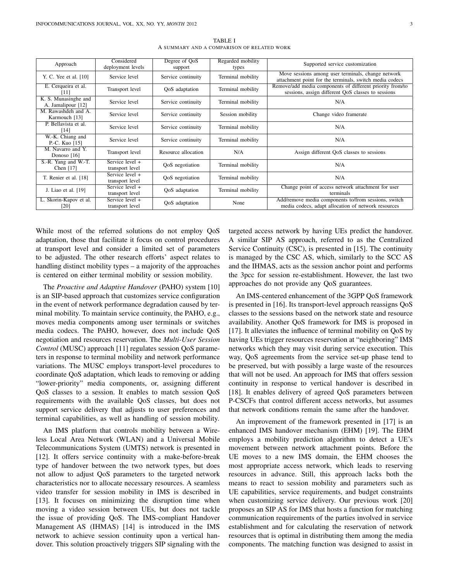| Approach                                   | Considered<br>deployment levels      | Degree of OoS<br>support | Regarded mobility<br>types | Supported service customization                                                                                 |
|--------------------------------------------|--------------------------------------|--------------------------|----------------------------|-----------------------------------------------------------------------------------------------------------------|
| Y. C. Yee et al. [10]                      | Service level                        | Service continuity       | Terminal mobility          | Move sessions among user terminals, change network<br>attachment point for the terminals, switch media codecs   |
| E. Cerqueira et al.<br>[11]                | Transport level                      | QoS adaptation           | Terminal mobility          | Remove/add media components of different priority from/to<br>sessions, assign different QoS classes to sessions |
| K. S. Munasinghe and<br>A. Jamalipour [12] | Service level                        | Service continuity       | Terminal mobility          | N/A                                                                                                             |
| M. Rawashdeh and A.<br>Karmouch [13]       | Service level                        | Service continuity       | Session mobility           | Change video framerate                                                                                          |
| P. Bellavista et al.<br>[14]               | Service level                        | Service continuity       | Terminal mobility          | N/A                                                                                                             |
| W.-K. Chiang and<br>P.-C. Kuo [15]         | Service level                        | Service continuity       | Terminal mobility          | N/A                                                                                                             |
| M. Navarro and Y.<br>Donoso $[16]$         | Transport level                      | Resource allocation      | N/A                        | Assign different QoS classes to sessions                                                                        |
| S.-R. Yang and W.-T.<br>Chen $[17]$        | Service level $+$<br>transport level | QoS negotiation          | Terminal mobility          | N/A                                                                                                             |
| T. Renier et al. [18]                      | Service level $+$<br>transport level | QoS negotiation          | Terminal mobility          | N/A                                                                                                             |
| J. Liao et al. [19]                        | Service level $+$<br>transport level | QoS adaptation           | Terminal mobility          | Change point of access network attachment for user<br>terminals                                                 |
| L. Skorin-Kapov et al.<br>[20]             | Service level +<br>transport level   | QoS adaptation           | None                       | Add/remove media components to/from sessions, switch<br>media codecs, adapt allocation of network resources     |

TABLE I A SUMMARY AND A COMPARISON OF RELATED WORK

While most of the referred solutions do not employ QoS adaptation, those that facilitate it focus on control procedures at transport level and consider a limited set of parameters to be adjusted. The other research efforts' aspect relates to handling distinct mobility types – a majority of the approaches is centered on either terminal mobility or session mobility.

The *Proactive and Adaptive Handover* (PAHO) system [10] is an SIP-based approach that customizes service configuration in the event of network performance degradation caused by terminal mobility. To maintain service continuity, the PAHO, e.g., moves media components among user terminals or switches media codecs. The PAHO, however, does not include QoS negotiation and resources reservation. The *Multi-User Session Control* (MUSC) approach [11] regulates session QoS parameters in response to terminal mobility and network performance variations. The MUSC employs transport-level procedures to coordinate QoS adaptation, which leads to removing or adding "lower-priority" media components, or, assigning different QoS classes to a session. It enables to match session QoS requirements with the available QoS classes, but does not support service delivery that adjusts to user preferences and terminal capabilities, as well as handling of session mobility.

An IMS platform that controls mobility between a Wireless Local Area Network (WLAN) and a Universal Mobile Telecommunications System (UMTS) network is presented in [12]. It offers service continuity with a make-before-break type of handover between the two network types, but does not allow to adjust QoS parameters to the targeted network characteristics nor to allocate necessary resources. A seamless video transfer for session mobility in IMS is described in [13]. It focuses on minimizing the disruption time when moving a video session between UEs, but does not tackle the issue of providing QoS. The IMS-compliant Handover Management AS (IHMAS) [14] is introduced in the IMS network to achieve session continuity upon a vertical handover. This solution proactively triggers SIP signaling with the

targeted access network by having UEs predict the handover. A similar SIP AS approach, referred to as the Centralized Service Continuity (CSC), is presented in [15]. The continuity is managed by the CSC AS, which, similarly to the SCC AS and the IHMAS, acts as the session anchor point and performs the 3pcc for session re-establishment. However, the last two approaches do not provide any QoS guarantees.

An IMS-centered enhancement of the 3GPP QoS framework is presented in [16]. Its transport-level approach reassigns QoS classes to the sessions based on the network state and resource availability. Another QoS framework for IMS is proposed in [17]. It alleviates the influence of terminal mobility on QoS by having UEs trigger resources reservation at "neighboring" IMS networks which they may visit during service execution. This way, QoS agreements from the service set-up phase tend to be preserved, but with possibly a large waste of the resources that will not be used. An approach for IMS that offers session continuity in response to vertical handover is described in [18]. It enables delivery of agreed OoS parameters between P-CSCFs that control different access networks, but assumes that network conditions remain the same after the handover.

An improvement of the framework presented in [17] is an enhanced IMS handover mechanism (EHM) [19]. The EHM employs a mobility prediction algorithm to detect a UE's movement between network attachment points. Before the UE moves to a new IMS domain, the EHM chooses the most appropriate access network, which leads to reserving resources in advance. Still, this approach lacks both the means to react to session mobility and parameters such as UE capabilities, service requirements, and budget constraints when customizing service delivery. Our previous work [20] proposes an SIP AS for IMS that hosts a function for matching communication requirements of the parties involved in service establishment and for calculating the reservation of network resources that is optimal in distributing them among the media components. The matching function was designed to assist in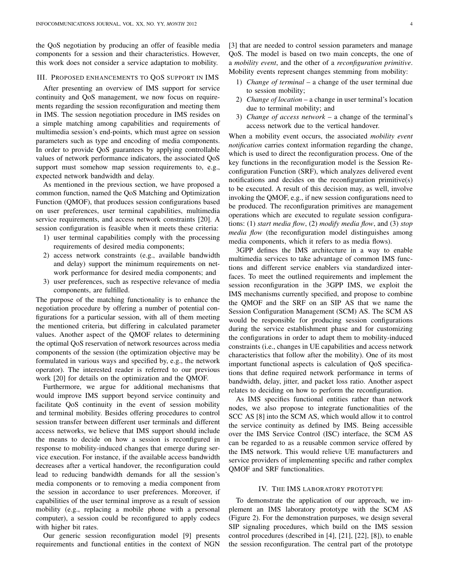the QoS negotiation by producing an offer of feasible media components for a session and their characteristics. However, this work does not consider a service adaptation to mobility.

## III. PROPOSED ENHANCEMENTS TO QOS SUPPORT IN IMS

After presenting an overview of IMS support for service continuity and QoS management, we now focus on requirements regarding the session reconfiguration and meeting them in IMS. The session negotiation procedure in IMS resides on a simple matching among capabilities and requirements of multimedia session's end-points, which must agree on session parameters such as type and encoding of media components. In order to provide QoS guarantees by applying controllable values of network performance indicators, the associated QoS support must somehow map session requirements to, e.g., expected network bandwidth and delay.

As mentioned in the previous section, we have proposed a common function, named the QoS Matching and Optimization Function (QMOF), that produces session configurations based on user preferences, user terminal capabilities, multimedia service requirements, and access network constraints [20]. A session configuration is feasible when it meets these criteria:

- 1) user terminal capabilities comply with the processing requirements of desired media components;
- 2) access network constraints (e.g., available bandwidth and delay) support the minimum requirements on network performance for desired media components; and
- 3) user preferences, such as respective relevance of media components, are fulfilled.

The purpose of the matching functionality is to enhance the negotiation procedure by offering a number of potential configurations for a particular session, with all of them meeting the mentioned criteria, but differing in calculated parameter values. Another aspect of the QMOF relates to determining the optimal QoS reservation of network resources across media components of the session (the optimization objective may be formulated in various ways and specified by, e.g., the network operator). The interested reader is referred to our previous work [20] for details on the optimization and the QMOF.

Furthermore, we argue for additional mechanisms that would improve IMS support beyond service continuity and facilitate QoS continuity in the event of session mobility and terminal mobility. Besides offering procedures to control session transfer between different user terminals and different access networks, we believe that IMS support should include the means to decide on how a session is reconfigured in response to mobility-induced changes that emerge during service execution. For instance, if the available access bandwidth decreases after a vertical handover, the reconfiguration could lead to reducing bandwidth demands for all the session's media components or to removing a media component from the session in accordance to user preferences. Moreover, if capabilities of the user terminal improve as a result of session mobility (e.g., replacing a mobile phone with a personal computer), a session could be reconfigured to apply codecs with higher bit rates.

Our generic session reconfiguration model [9] presents requirements and functional entities in the context of NGN [3] that are needed to control session parameters and manage QoS. The model is based on two main concepts, the one of a *mobility event*, and the other of a *reconfiguration primitive*. Mobility events represent changes stemming from mobility:

- 1) *Change of terminal* a change of the user terminal due to session mobility;
- 2) *Change of location* a change in user terminal's location due to terminal mobility; and
- 3) *Change of access network* a change of the terminal's access network due to the vertical handover.

When a mobility event occurs, the associated *mobility event notification* carries context information regarding the change, which is used to direct the reconfiguration process. One of the key functions in the reconfiguration model is the Session Reconfiguration Function (SRF), which analyzes delivered event notifications and decides on the reconfiguration primitive(s) to be executed. A result of this decision may, as well, involve invoking the QMOF, e.g., if new session configurations need to be produced. The reconfiguration primitives are management operations which are executed to regulate session configurations: (1) *start media flow*, (2) *modify media flow*, and (3) *stop media flow* (the reconfiguration model distinguishes among media components, which it refers to as media flows).

3GPP defines the IMS architecture in a way to enable multimedia services to take advantage of common IMS functions and different service enablers via standardized interfaces. To meet the outlined requirements and implement the session reconfiguration in the 3GPP IMS, we exploit the IMS mechanisms currently specified, and propose to combine the QMOF and the SRF on an SIP AS that we name the Session Configuration Management (SCM) AS. The SCM AS would be responsible for producing session configurations during the service establishment phase and for customizing the configurations in order to adapt them to mobility-induced constraints (i.e., changes in UE capabilities and access network characteristics that follow after the mobility). One of its most important functional aspects is calculation of QoS specifications that define required network performance in terms of bandwidth, delay, jitter, and packet loss ratio. Another aspect relates to deciding on how to perform the reconfiguration.

As IMS specifies functional entities rather than network nodes, we also propose to integrate functionalities of the SCC AS [8] into the SCM AS, which would allow it to control the service continuity as defined by IMS. Being accessible over the IMS Service Control (ISC) interface, the SCM AS can be regarded to as a reusable common service offered by the IMS network. This would relieve UE manufacturers and service providers of implementing specific and rather complex QMOF and SRF functionalities.

## IV. THE IMS LABORATORY PROTOTYPE

To demonstrate the application of our approach, we implement an IMS laboratory prototype with the SCM AS (Figure 2). For the demonstration purposes, we design several SIP signaling procedures, which build on the IMS session control procedures (described in [4], [21], [22], [8]), to enable the session reconfiguration. The central part of the prototype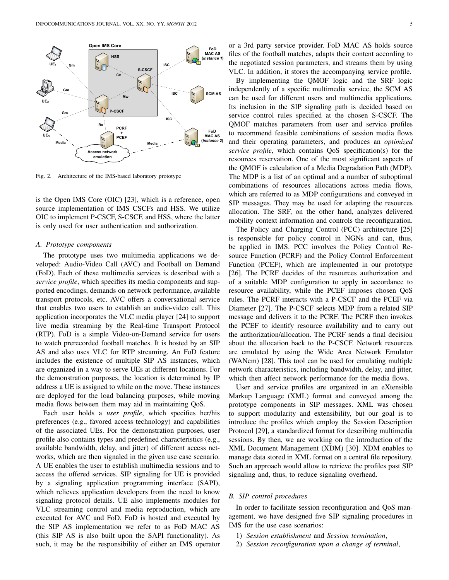

Fig. 2. Architecture of the IMS-based laboratory prototype

is the Open IMS Core (OIC) [23], which is a reference, open source implementation of IMS CSCFs and HSS. We utilize OIC to implement P-CSCF, S-CSCF, and HSS, where the latter is only used for user authentication and authorization.

#### *A. Prototype components*

The prototype uses two multimedia applications we developed: Audio-Video Call (AVC) and Football on Demand (FoD). Each of these multimedia services is described with a *service profile*, which specifies its media components and supported encodings, demands on network performance, available transport protocols, etc. AVC offers a conversational service that enables two users to establish an audio-video call. This application incorporates the VLC media player [24] to support live media streaming by the Real-time Transport Protocol (RTP). FoD is a simple Video-on-Demand service for users to watch prerecorded football matches. It is hosted by an SIP AS and also uses VLC for RTP streaming. An FoD feature includes the existence of multiple SIP AS instances, which are organized in a way to serve UEs at different locations. For the demonstration purposes, the location is determined by IP address a UE is assigned to while on the move. These instances are deployed for the load balancing purposes, while moving media flows between them may aid in maintaining QoS.

Each user holds a *user profile*, which specifies her/his preferences (e.g., favored access technology) and capabilities of the associated UEs. For the demonstration purposes, user profile also contains types and predefined characteristics (e.g., available bandwidth, delay, and jitter) of different access networks, which are then signaled in the given use case scenario. A UE enables the user to establish multimedia sessions and to access the offered services. SIP signaling for UE is provided by a signaling application programming interface (SAPI), which relieves application developers from the need to know signaling protocol details. UE also implements modules for VLC streaming control and media reproduction, which are executed for AVC and FoD. FoD is hosted and executed by the SIP AS implementation we refer to as FoD MAC AS (this SIP AS is also built upon the SAPI functionality). As such, it may be the responsibility of either an IMS operator

or a 3rd party service provider. FoD MAC AS holds source files of the football matches, adapts their content according to the negotiated session parameters, and streams them by using VLC. In addition, it stores the accompanying service profile.

By implementing the QMOF logic and the SRF logic independently of a specific multimedia service, the SCM AS can be used for different users and multimedia applications. Its inclusion in the SIP signaling path is decided based on service control rules specified at the chosen S-CSCF. The QMOF matches parameters from user and service profiles to recommend feasible combinations of session media flows and their operating parameters, and produces an *optimized service profile*, which contains QoS specification(s) for the resources reservation. One of the most significant aspects of the QMOF is calculation of a Media Degradation Path (MDP). The MDP is a list of an optimal and a number of suboptimal combinations of resources allocations across media flows, which are referred to as MDP configurations and conveyed in SIP messages. They may be used for adapting the resources allocation. The SRF, on the other hand, analyzes delivered mobility context information and controls the reconfiguration.

The Policy and Charging Control (PCC) architecture [25] is responsible for policy control in NGNs and can, thus, be applied in IMS. PCC involves the Policy Control Resource Function (PCRF) and the Policy Control Enforcement Function (PCEF), which are implemented in our prototype [26]. The PCRF decides of the resources authorization and of a suitable MDP configuration to apply in accordance to resource availability, while the PCEF imposes chosen QoS rules. The PCRF interacts with a P-CSCF and the PCEF via Diameter [27]. The P-CSCF selects MDP from a related SIP message and delivers it to the PCRF. The PCRF then invokes the PCEF to identify resource availability and to carry out the authorization/allocation. The PCRF sends a final decision about the allocation back to the P-CSCF. Network resources are emulated by using the Wide Area Network Emulator (WANem) [28]. This tool can be used for emulating multiple network characteristics, including bandwidth, delay, and jitter, which then affect network performance for the media flows.

User and service profiles are organized in an eXtensible Markup Language (XML) format and conveyed among the prototype components in SIP messages. XML was chosen to support modularity and extensibility, but our goal is to introduce the profiles which employ the Session Description Protocol [29], a standardized format for describing multimedia sessions. By then, we are working on the introduction of the XML Document Management (XDM) [30]. XDM enables to manage data stored in XML format on a central file repository. Such an approach would allow to retrieve the profiles past SIP signaling and, thus, to reduce signaling overhead.

### *B. SIP control procedures*

In order to facilitate session reconfiguration and QoS management, we have designed five SIP signaling procedures in IMS for the use case scenarios:

- 1) *Session establishment* and *Session termination*,
- 2) *Session reconfiguration upon a change of terminal*,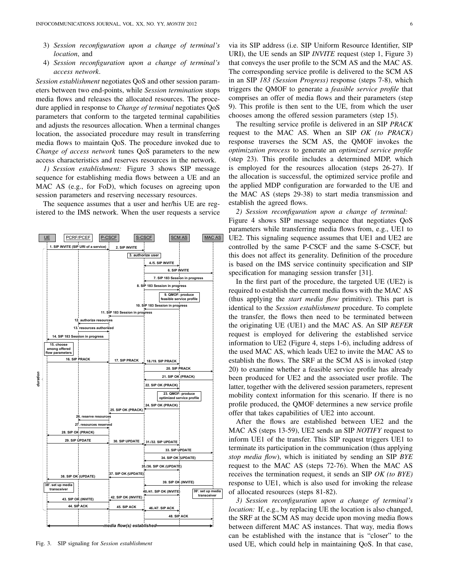- 3) *Session reconfiguration upon a change of terminal's location*, and
- 4) *Session reconfiguration upon a change of terminal's access network*.

*Session establishment* negotiates QoS and other session parameters between two end-points, while *Session termination* stops media flows and releases the allocated resources. The procedure applied in response to *Change of terminal* negotiates QoS parameters that conform to the targeted terminal capabilities and adjusts the resources allocation. When a terminal changes location, the associated procedure may result in transferring media flows to maintain QoS. The procedure invoked due to *Change of access network* tunes QoS parameters to the new access characteristics and reserves resources in the network.

*1) Session establishment:* Figure 3 shows SIP message sequence for establishing media flows between a UE and an MAC AS (e.g., for FoD), which focuses on agreeing upon session parameters and reserving necessary resources.

The sequence assumes that a user and her/his UE are registered to the IMS network. When the user requests a service



Fig. 3. SIP signaling for *Session establishment*

via its SIP address (i.e. SIP Uniform Resource Identifier, SIP URI), the UE sends an SIP *INVITE* request (step 1, Figure 3) that conveys the user profile to the SCM AS and the MAC AS. The corresponding service profile is delivered to the SCM AS in an SIP *183 (Session Progress)* response (steps 7-8), which triggers the QMOF to generate a *feasible service profile* that comprises an offer of media flows and their parameters (step 9). This profile is then sent to the UE, from which the user chooses among the offered session parameters (step 15).

The resulting service profile is delivered in an SIP *PRACK* request to the MAC AS. When an SIP *OK (to PRACK)* response traverses the SCM AS, the QMOF invokes the *optimization process* to generate an *optimized service profile* (step 23). This profile includes a determined MDP, which is employed for the resources allocation (steps 26-27). If the allocation is successful, the optimized service profile and the applied MDP configuration are forwarded to the UE and the MAC AS (steps 29-38) to start media transmission and establish the agreed flows.

*2) Session reconfiguration upon a change of terminal:* Figure 4 shows SIP message sequence that negotiates QoS parameters while transferring media flows from, e.g., UE1 to UE2. This signaling sequence assumes that UE1 and UE2 are controlled by the same P-CSCF and the same S-CSCF, but this does not affect its generality. Definition of the procedure is based on the IMS service continuity specification and SIP specification for managing session transfer [31].

In the first part of the procedure, the targeted UE (UE2) is required to establish the current media flows with the MAC AS (thus applying the *start media flow* primitive). This part is identical to the *Session establishment* procedure. To complete the transfer, the flows then need to be terminated between the originating UE (UE1) and the MAC AS. An SIP *REFER* request is employed for delivering the established service information to UE2 (Figure 4, steps 1-6), including address of the used MAC AS, which leads UE2 to invite the MAC AS to establish the flows. The SRF at the SCM AS is invoked (step 20) to examine whether a feasible service profile has already been produced for UE2 and the associated user profile. The latter, together with the delivered session parameters, represent mobility context information for this scenario. If there is no profile produced, the QMOF determines a new service profile offer that takes capabilities of UE2 into account.

After the flows are established between UE2 and the MAC AS (steps 13-59), UE2 sends an SIP *NOTIFY* request to inform UE1 of the transfer. This SIP request triggers UE1 to terminate its participation in the communication (thus applying *stop media flow*), which is initiated by sending an SIP *BYE* request to the MAC AS (steps 72-76). When the MAC AS receives the termination request, it sends an SIP *OK (to BYE)* response to UE1, which is also used for invoking the release of allocated resources (steps 81-82).

*3) Session reconfiguration upon a change of terminal's location:* If, e.g., by replacing UE the location is also changed, the SRF at the SCM AS may decide upon moving media flows between different MAC AS instances. That way, media flows can be established with the instance that is "closer" to the used UE, which could help in maintaining QoS. In that case,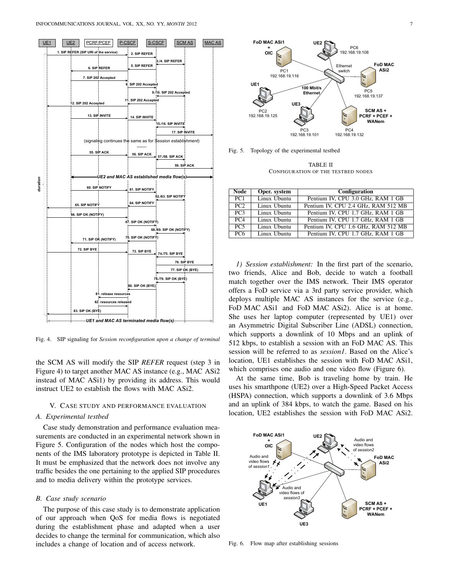

Fig. 4. SIP signaling for *Session reconfiguration upon a change of terminal*

the SCM AS will modify the SIP *REFER* request (step 3 in Figure 4) to target another MAC AS instance (e.g., MAC ASi2 instead of MAC ASi1) by providing its address. This would instruct UE2 to establish the flows with MAC ASi2.

# V. CASE STUDY AND PERFORMANCE EVALUATION

## *A. Experimental testbed*

Case study demonstration and performance evaluation measurements are conducted in an experimental network shown in Figure 5. Configuration of the nodes which host the components of the IMS laboratory prototype is depicted in Table II. It must be emphasized that the network does not involve any traffic besides the one pertaining to the applied SIP procedures and to media delivery within the prototype services.

## *B. Case study scenario*

The purpose of this case study is to demonstrate application of our approach when QoS for media flows is negotiated during the establishment phase and adapted when a user decides to change the terminal for communication, which also includes a change of location and of access network.



Fig. 5. Topology of the experimental testbed

TABLE II CONFIGURATION OF THE TESTBED NODES

| <b>Node</b>     | Oper. system | Configuration                       |
|-----------------|--------------|-------------------------------------|
| PC1             | Linux Ubuntu | Pentium IV, CPU 3.0 GHz, RAM 1 GB   |
| PC2             | Linux Ubuntu | Pentium IV, CPU 2.4 GHz, RAM 512 MB |
| PC3             | Linux Ubuntu | Pentium IV, CPU 1.7 GHz, RAM 1 GB   |
| PC4             | Linux Ubuntu | Pentium IV, CPU 1.7 GHz, RAM 1 GB   |
| <b>PC5</b>      | Linux Ubuntu | Pentium IV, CPU 1.6 GHz, RAM 512 MB |
| PC <sub>6</sub> | Linux Ubuntu | Pentium IV, CPU 1.7 GHz, RAM 1 GB   |

*1) Session establishment:* In the first part of the scenario, two friends, Alice and Bob, decide to watch a football match together over the IMS network. Their IMS operator offers a FoD service via a 3rd party service provider, which deploys multiple MAC AS instances for the service (e.g., FoD MAC ASi1 and FoD MAC ASi2). Alice is at home. She uses her laptop computer (represented by UE1) over an Asymmetric Digital Subscriber Line (ADSL) connection, which supports a downlink of 10 Mbps and an uplink of 512 kbps, to establish a session with an FoD MAC AS. This session will be referred to as *session1*. Based on the Alice's location, UE1 establishes the session with FoD MAC ASi1, which comprises one audio and one video flow (Figure 6).

At the same time, Bob is traveling home by train. He uses his smarthpone (UE2) over a High-Speed Packet Access (HSPA) connection, which supports a downlink of 3.6 Mbps and an uplink of 384 kbps, to watch the game. Based on his location, UE2 establishes the session with FoD MAC ASi2.



Fig. 6. Flow map after establishing sessions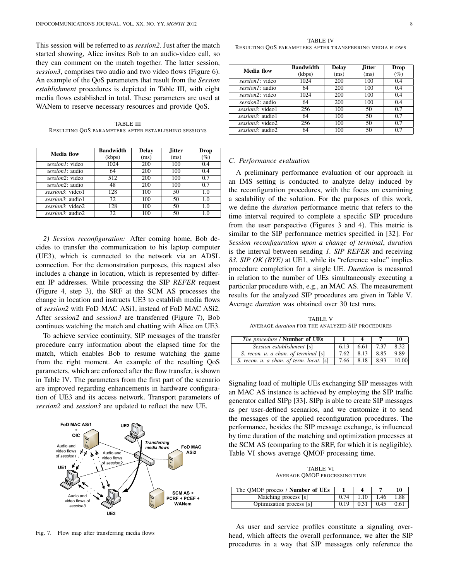This session will be referred to as *session2*. Just after the match started showing, Alice invites Bob to an audio-video call, so they can comment on the match together. The latter session, *session3*, comprises two audio and two video flows (Figure 6). An example of the QoS parameters that result from the *Session establishment* procedures is depicted in Table III, with eight media flows established in total. These parameters are used at WANem to reserve necessary resources and provide QoS.

TABLE III RESULTING QOS PARAMETERS AFTER ESTABLISHING SESSIONS

| <b>Media flow</b> | <b>Bandwidth</b> | <b>Delay</b> | <b>Jitter</b> | Drop   |
|-------------------|------------------|--------------|---------------|--------|
|                   | (kbps)           | (ms)         | (ms)          | $(\%)$ |
| session1: video   | 1024             | 200          | 100           | 0.4    |
| session1: audio   | 64               | 200          | 100           | 0.4    |
| session2: video   | 512              | 200          | 100           | 0.7    |
| session2: audio   | 48               | 200          | 100           | 0.7    |
| session3: video1  | 128              | 100          | 50            | 1.0    |
| session3: audio1  | 32               | 100          | 50            | 1.0    |
| session3: video2  | 128              | 100          | 50            | 1.0    |
| session3: audio2  | 32               | 100          | 50            | 1.0    |

*2) Session reconfiguration:* After coming home, Bob decides to transfer the communication to his laptop computer (UE3), which is connected to the network via an ADSL connection. For the demonstration purposes, this request also includes a change in location, which is represented by different IP addresses. While processing the SIP *REFER* request (Figure 4, step 3), the SRF at the SCM AS processes the change in location and instructs UE3 to establish media flows of *session2* with FoD MAC ASi1, instead of FoD MAC ASi2. After *session2* and *session3* are transferred (Figure 7), Bob continues watching the match and chatting with Alice on UE3.

To achieve service continuity, SIP messages of the transfer procedure carry information about the elapsed time for the match, which enables Bob to resume watching the game from the right moment. An example of the resulting QoS parameters, which are enforced after the flow transfer, is shown in Table IV. The parameters from the first part of the scenario are improved regarding enhancements in hardware configuration of UE3 and its access network. Transport parameters of *session2* and *session3* are updated to reflect the new UE.



Fig. 7. Flow map after transferring media flows

TABLE IV RESULTING QOS PARAMETERS AFTER TRANSFERRING MEDIA FLOWS

| Media flow       | <b>Bandwidth</b> | <b>Delay</b> | <b>Jitter</b> | Drop   |
|------------------|------------------|--------------|---------------|--------|
|                  | (kbps)           | (ms)         | (ms)          | $(\%)$ |
| session1: video  | 1024             | 200          | 100           | 0.4    |
| session1: audio  | 64               | 200          | 100           | 0.4    |
| session2: video  | 1024             | 200          | 100           | 0.4    |
| session2: audio  | 64               | 200          | 100           | 0.4    |
| session3: video1 | 256              | 100          | 50            | 0.7    |
| session3: audio1 | 64               | 100          | 50            | 0.7    |
| session3: video2 | 256              | 100          | 50            | 0.7    |
| session3: audio2 | 64               | 100          | 50            | 0.7    |

## *C. Performance evaluation*

A preliminary performance evaluation of our approach in an IMS setting is conducted to analyze delay induced by the reconfiguration procedures, with the focus on examining a scalability of the solution. For the purposes of this work, we define the *duration* performance metric that refers to the time interval required to complete a specific SIP procedure from the user perspective (Figures 3 and 4). This metric is similar to the SIP performance metrics specified in [32]. For *Session reconfiguration upon a change of terminal*, *duration* is the interval between sending *1. SIP REFER* and receiving *83. SIP OK (BYE)* at UE1, while its "reference value" implies procedure completion for a single UE. *Duration* is measured in relation to the number of UEs simultaneously executing a particular procedure with, e.g., an MAC AS. The measurement results for the analyzed SIP procedures are given in Table V. Average *duration* was obtained over 30 test runs.

TABLE V AVERAGE *duration* FOR THE ANALYZED SIP PROCEDURES

| The procedure / Number of UEs            |              |               |      | 10    |
|------------------------------------------|--------------|---------------|------|-------|
| Session establishment [s]                | 6.13         | 6.61          | 7.37 | 8.32  |
| S. recon. u. a chan. of terminal [s]     | $7.62 \perp$ | 8.13          | 8.85 | 9.89  |
| S. recon. u. a chan. of term. locat. [s] |              | $7.66$   8.18 | 8.93 | 10.00 |

Signaling load of multiple UEs exchanging SIP messages with an MAC AS instance is achieved by employing the SIP traffic generator called SIPp [33]. SIPp is able to create SIP messages as per user-defined scenarios, and we customize it to send the messages of the applied reconfiguration procedures. The performance, besides the SIP message exchange, is influenced by time duration of the matching and optimization processes at the SCM AS (comparing to the SRF, for which it is negligible). Table VI shows average QMOF processing time.

TABLE VI AVERAGE QMOF PROCESSING TIME

| The OMOF process / <b>Number of UEs</b> |      |      |      |      |
|-----------------------------------------|------|------|------|------|
| Matching process [s]                    | 0.74 | 1.10 | 1.46 | 1.88 |
| Optimization process [s]                | 0.19 | 0.31 | 0.45 | 0.61 |

As user and service profiles constitute a signaling overhead, which affects the overall performance, we alter the SIP procedures in a way that SIP messages only reference the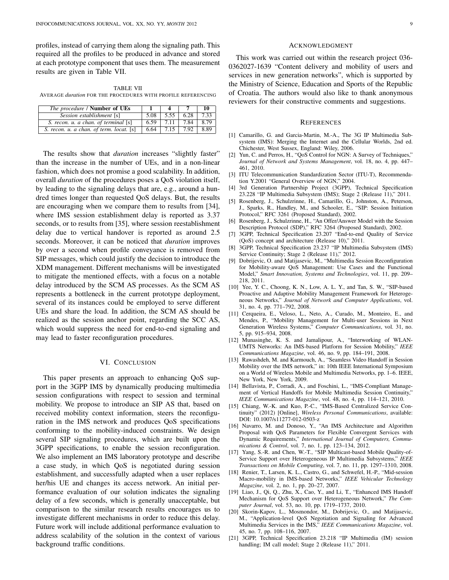profiles, instead of carrying them along the signaling path. This required all the profiles to be produced in advance and stored at each prototype component that uses them. The measurement results are given in Table VII.

TABLE VII AVERAGE *duration* FOR THE PROCEDURES WITH PROFILE REFERENCING

| The procedure / Number of UEs            |      |                                                           |      |
|------------------------------------------|------|-----------------------------------------------------------|------|
| Session establishment [s]                | 5.08 | $\vert 5.55 \vert 6.28 \vert$                             | 7.33 |
| S. recon. u. a chan. of terminal [s]     |      | $\overline{6.59}$   $\overline{7.11}$   $\overline{7.84}$ | 8.79 |
| S. recon. u. a chan. of term. locat. [s] |      | $6.64$   7.15   7.92                                      | 8.89 |

The results show that *duration* increases "slightly faster" than the increase in the number of UEs, and in a non-linear fashion, which does not promise a good scalability. In addition, overall *duration* of the procedures poses a QoS violation itself, by leading to the signaling delays that are, e.g., around a hundred times longer than requested QoS delays. But, the results are encouraging when we compare them to results from [34], where IMS session establishment delay is reported as 3.37 seconds, or to results from [35], where session reestablishment delay due to vertical handover is reported as around 2.5 seconds. Moreover, it can be noticed that *duration* improves by over a second when profile conveyance is removed from SIP messages, which could justify the decision to introduce the XDM management. Different mechanisms will be investigated to mitigate the mentioned effects, with a focus on a notable delay introduced by the SCM AS processes. As the SCM AS represents a bottleneck in the current prototype deployment, several of its instances could be employed to serve different UEs and share the load. In addition, the SCM AS should be realized as the session anchor point, regarding the SCC AS, which would suppress the need for end-to-end signaling and may lead to faster reconfiguration procedures.

## VI. CONCLUSION

This paper presents an approach to enhancing QoS support in the 3GPP IMS by dynamically producing multimedia session configurations with respect to session and terminal mobility. We propose to introduce an SIP AS that, based on received mobility context information, steers the reconfiguration in the IMS network and produces QoS specifications conforming to the mobility-induced constraints. We design several SIP signaling procedures, which are built upon the 3GPP specifications, to enable the session reconfiguration. We also implement an IMS laboratory prototype and describe a case study, in which QoS is negotiated during session establishment, and successfully adapted when a user replaces her/his UE and changes its access network. An initial performance evaluation of our solution indicates the signaling delay of a few seconds, which is generally unacceptable, but comparison to the similar research results encourages us to investigate different mechanisms in order to reduce this delay. Future work will include additional performance evaluation to address scalability of the solution in the context of various background traffic conditions.

#### ACKNOWLEDGMENT

This work was carried out within the research project 036- 0362027-1639 "Content delivery and mobility of users and services in new generation networks", which is supported by the Ministry of Science, Education and Sports of the Republic of Croatia. The authors would also like to thank anonymous reviewers for their constructive comments and suggestions.

#### **REFERENCES**

- [1] Camarillo, G. and Garcia-Martin, M.-A., The 3G IP Multimedia Subsystem (IMS): Merging the Internet and the Cellular Worlds, 2nd ed. Chichester, West Sussex, England: Wiley, 2006.
- [2] Yun, C. and Perros, H., "OoS Control for NGN: A Survey of Techniques," *Journal of Network and Systems Management*, vol. 18, no. 4, pp. 447– 461, 2010.
- [3] ITU Telecommunication Standardization Sector (ITU-T), Recommendation Y.2001 "General Overview of NGN," 2004.
- [4] 3rd Generation Partnership Project (3GPP), Technical Specification 23.228 "IP Multimedia Subsystem (IMS); Stage 2 (Release 11)," 2011.
- [5] Rosenberg, J., Schulzrinne, H., Camarillo, G., Johnston, A., Peterson, J., Sparks, R., Handley, M., and Schooler, E., "SIP: Session Initiation Protocol," RFC 3261 (Proposed Standard), 2002.
- [6] Rosenberg, J., Schulzrinne, H., "An Offer/Answer Model with the Session Description Protocol (SDP)," RFC 3264 (Proposed Standard), 2002.
- [7] 3GPP, Technical Specification 23.207 "End-to-end Quality of Service (QoS) concept and architecture (Release 10)," 2011.
- [8] 3GPP, Technical Specification 23.237 "IP Multimedia Subsystem (IMS) Service Continuity; Stage 2 (Release 11)," 2012.
- [9] Dobrijevic, O. and Matijasevic, M., "Multimedia Session Reconfiguration for Mobility-aware QoS Management: Use Cases and the Functional Model," *Smart Innovation, Systems and Technologies*, vol. 11, pp. 209– 218, 2011.
- [10] Yee, Y. C., Choong, K. N., Low, A. L. Y., and Tan, S. W., "SIP-based Proactive and Adaptive Mobility Management Framework for Heterogeneous Networks," *Journal of Network and Computer Applications*, vol. 31, no. 4, pp. 771–792, 2008.
- [11] Cerqueira, E., Veloso, L., Neto, A., Curado, M., Monteiro, E., and Mendes, P., "Mobility Management for Multi-user Sessions in Next Generation Wireless Systems," *Computer Communications*, vol. 31, no. 5, pp. 915–934, 2008.
- [12] Munasinghe, K. S. and Jamalipour, A., "Interworking of WLAN-UMTS Networks: An IMS-based Platform for Session Mobility," *IEEE Communications Magazine*, vol. 46, no. 9, pp. 184–191, 2008.
- [13] Rawashdeh, M. and Karmouch, A., "Seamless Video Handoff in Session Mobility over the IMS network," in: 10th IEEE International Symposium on a World of Wireless Mobile and Multimedia Networks, pp. 1–6. IEEE, New York, New York, 2009.
- [14] Bellavista, P., Corradi, A., and Foschini, L., "IMS-Compliant Management of Vertical Handoffs for Mobile Multimedia Session Continuity," *IEEE Communications Magazine*, vol. 48, no. 4, pp. 114–121, 2010.
- [15] Chiang, W.-K. and Kuo, P.-C., "IMS-Based Centralized Service Continuity" (2012) [Online], *Wireless Personal Communications*, available: DOI: 10.1007/s11277-012-0503-z
- [16] Navarro, M. and Donoso, Y., "An IMS Architecture and Algorithm Proposal with QoS Parameters for Flexible Convergent Services with Dynamic Requirements," *International Journal of Computers, Communications & Control*, vol. 7, no. 1, pp. 123–134, 2012.
- [17] Yang, S.-R. and Chen, W.-T., "SIP Multicast-based Mobile Quality-of-Service Support over Heterogeneous IP Multimedia Subsystems," *IEEE Transactions on Mobile Computing*, vol. 7, no. 11, pp. 1297–1310, 2008.
- [18] Renier, T., Larsen, K. L., Castro, G., and Schwefel, H.-P., "Mid-session Macro-mobility in IMS-based Networks," *IEEE Vehicular Technology Magazine*, vol. 2, no. 1, pp. 20–27, 2007.
- [19] Liao, J., Qi, Q., Zhu, X., Cao, Y., and Li, T., "Enhanced IMS Handoff Mechanism for QoS Support over Heterogeneous Network," *The Computer Journal*, vol. 53, no. 10, pp. 1719–1737, 2010.
- [20] Skorin-Kapov, L., Mosmondor, M., Dobrijevic, O., and Matijasevic, M., "Application-level QoS Negotiation and Signaling for Advanced Multimedia Services in the IMS," *IEEE Communications Magazine*, vol. 45, no. 7, pp. 108–116, 2007.
- [21] 3GPP, Technical Specification 23.218 "IP Multimedia (IM) session handling; IM call model; Stage 2 (Release 11)," 2011.